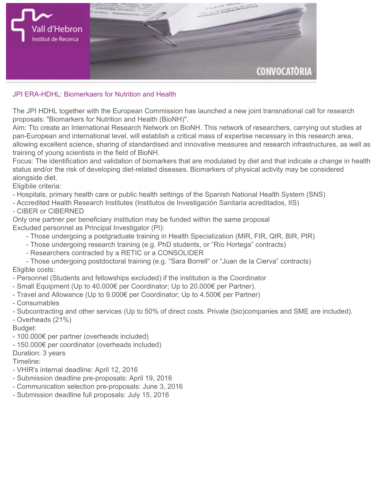

## **JPI ERA-HDHL: Biomerkaers for Nutrition and Health**

**The JPI HDHL together with the European Commission has launched a new joint transnational call for research proposals: "Biomarkers for Nutrition and Health (BioNH)".**

**Aim: Tto create an International Research Network on BioNH. This network of researchers, carrying out studies at pan-European and international level, will establish a critical mass of expertise necessary in this research area, allowing excellent science, sharing of standardised and innovative measures and research infrastructures, as well as training of young scientists in the field of BioNH.**

**Focus: The identification and validation of biomarkers that are modulated by diet and that indicate a change in health status and/or the risk of developing diet-related diseases. Biomarkers of physical activity may be considered alongside diet.**

**Eligibile criteria:**

- **Hospitals, primary health care or public health settings of the Spanish National Health System (SNS)**
- **Accredited Health Research Institutes (Institutos de Investigación Sanitaria acreditados, IIS) - CIBER or CIBERNED**

**Only one partner per beneficiary institution may be funded within the same proposal Excluded personnel as Principal Investigator (PI):**

- **Those undergoing a postgraduate training in Health Specialization (MIR, FIR, QIR, BIR, PIR)**
- **Those undergoing research training (e.g. PhD students, or "Río Hortega" contracts)**
- **Researchers contracted by a RETIC or a CONSOLIDER**
- **Those undergoing postdoctoral training (e.g. "Sara Borrell" or "Juan de la Cierva" contracts) Eligible costs:**
- **Personnel (Students and fellowships excluded) if the institution is the Coordinator**
- **Small Equipment (Up to 40.000€ per Coordinator; Up to 20.000€ per Partner).**
- **Travel and Allowance (Up to 9.000€ per Coordinator; Up to 4.500€ per Partner)**
- **Consumables**
- **Subcontracting and other services (Up to 50% of direct costs. Private (bio)companies and SME are included).**
- **Overheads (21%)**

## **Budget:**

- **100.000€ per partner (overheads included)**
- **150.000€ per coordinator (overheads included)**

## **Duration: 3 years**

## **Timeline:**

- **VHIR's internal deadline: April 12, 2016**
- **Submission deadline pre-proposals: April 19, 2016**
- **Communication selection pre-proposals: June 3, 2016**
- **Submission deadline full proposals: July 15, 2016**